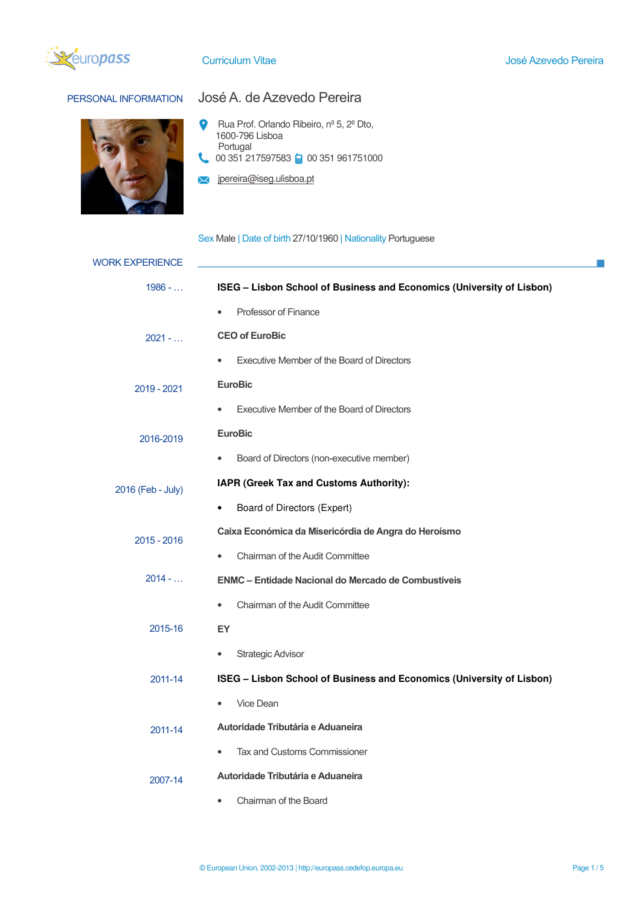



# PERSONAL INFORMATION José A. de Azevedo Pereira

- $\bullet$  Rua Prof. Orlando Ribeiro, nº 5, 2º Dto, 1600-796 Lisboa Portugal
- $\bullet$  00 351 217597583 a 00 351 961751000
- **X** jpereira@iseg.ulisboa.pt

### Sex Male | Date of birth 27/10/1960 | Nationality Portuguese

| <b>WORK EXPERIENCE</b> |                                                                       |
|------------------------|-----------------------------------------------------------------------|
| $1986 - $              | ISEG - Lisbon School of Business and Economics (University of Lisbon) |
|                        | Professor of Finance<br>$\bullet$                                     |
| $2021 - $              | <b>CEO of EuroBic</b>                                                 |
|                        | Executive Member of the Board of Directors<br>$\bullet$               |
| 2019 - 2021            | <b>EuroBic</b>                                                        |
|                        | Executive Member of the Board of Directors<br>$\bullet$               |
| 2016-2019              | <b>EuroBic</b>                                                        |
|                        | Board of Directors (non-executive member)<br>$\bullet$                |
| 2016 (Feb - July)      | IAPR (Greek Tax and Customs Authority):                               |
|                        | Board of Directors (Expert)<br>$\bullet$                              |
| 2015 - 2016            | Caixa Económica da Misericórdia de Angra do Heroísmo                  |
|                        | Chairman of the Audit Committee<br>$\bullet$                          |
| $2014 - $              | <b>ENMC – Entidade Nacional do Mercado de Combustíveis</b>            |
|                        | Chairman of the Audit Committee<br>$\bullet$                          |
| 2015-16                | EY                                                                    |
|                        | <b>Strategic Advisor</b><br>$\bullet$                                 |
| 2011-14                | ISEG - Lisbon School of Business and Economics (University of Lisbon) |
|                        | Vice Dean<br>$\bullet$                                                |
| 2011-14                | Autoridade Tributária e Aduaneira                                     |
|                        | <b>Tax and Customs Commissioner</b><br>$\bullet$                      |
| 2007-14                | Autoridade Tributária e Aduaneira                                     |
|                        | Chairman of the Board<br>$\bullet$                                    |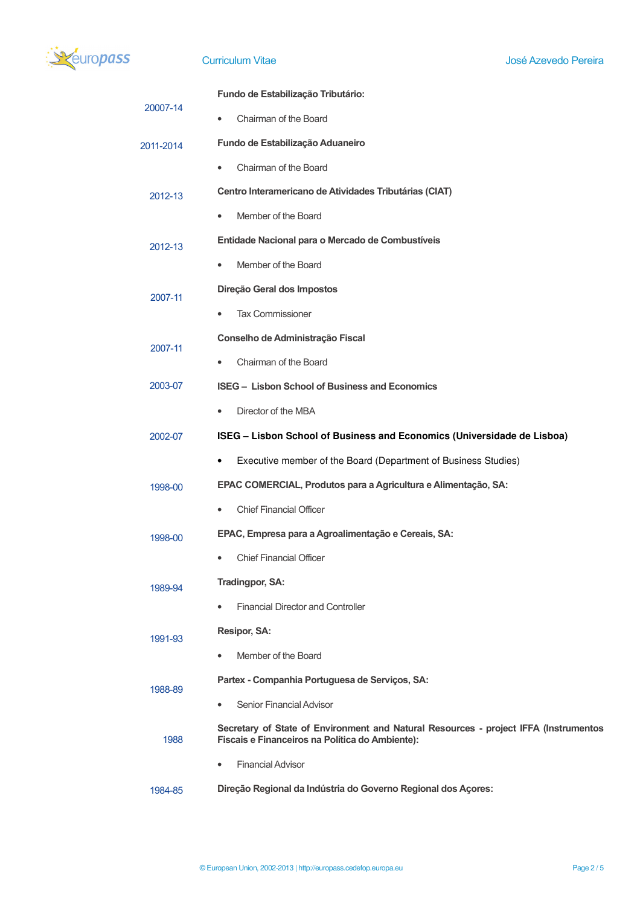

| 20007-14  | Fundo de Estabilização Tributário:                                                                                                      |
|-----------|-----------------------------------------------------------------------------------------------------------------------------------------|
|           | Chairman of the Board<br>$\bullet$                                                                                                      |
| 2011-2014 | Fundo de Estabilização Aduaneiro                                                                                                        |
|           | Chairman of the Board                                                                                                                   |
| 2012-13   | Centro Interamericano de Atividades Tributárias (CIAT)                                                                                  |
|           | Member of the Board<br>٠                                                                                                                |
| 2012-13   | Entidade Nacional para o Mercado de Combustíveis                                                                                        |
|           | Member of the Board<br>$\bullet$                                                                                                        |
| 2007-11   | Direção Geral dos Impostos                                                                                                              |
|           | <b>Tax Commissioner</b><br>$\bullet$                                                                                                    |
| 2007-11   | Conselho de Administração Fiscal                                                                                                        |
|           | Chairman of the Board                                                                                                                   |
| 2003-07   | ISEG - Lisbon School of Business and Economics                                                                                          |
|           | Director of the MBA                                                                                                                     |
| 2002-07   | ISEG - Lisbon School of Business and Economics (Universidade de Lisboa)                                                                 |
|           | Executive member of the Board (Department of Business Studies)<br>$\bullet$                                                             |
| 1998-00   | EPAC COMERCIAL, Produtos para a Agricultura e Alimentação, SA:                                                                          |
|           | <b>Chief Financial Officer</b><br>٠                                                                                                     |
| 1998-00   | EPAC, Empresa para a Agroalimentação e Cereais, SA:                                                                                     |
|           | <b>Chief Financial Officer</b>                                                                                                          |
| 1989-94   | Tradingpor, SA:                                                                                                                         |
|           | <b>Financial Director and Controller</b><br>$\bullet$                                                                                   |
| 1991-93   | Resipor, SA:                                                                                                                            |
|           | Member of the Board<br>$\bullet$                                                                                                        |
| 1988-89   | Partex - Companhia Portuguesa de Serviços, SA:                                                                                          |
|           | Senior Financial Advisor                                                                                                                |
| 1988      | Secretary of State of Environment and Natural Resources - project IFFA (Instrumentos<br>Fiscais e Financeiros na Política do Ambiente): |
|           | <b>Financial Advisor</b><br>٠                                                                                                           |
| 1984-85   | Direção Regional da Indústria do Governo Regional dos Açores:                                                                           |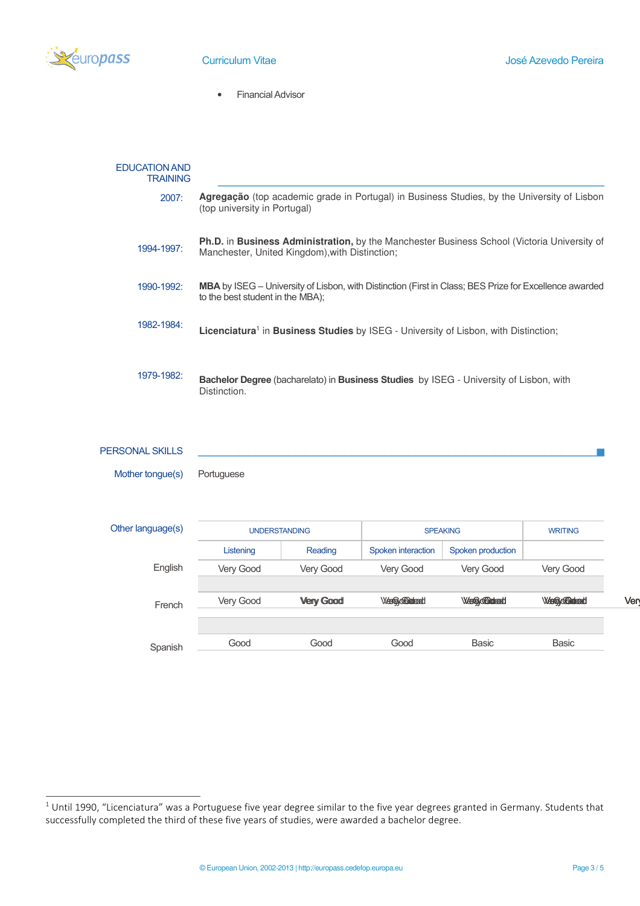

• Financial Advisor

| <b>EDUCATION AND</b><br><b>TRAINING</b> |                                                                                                                                                              |
|-----------------------------------------|--------------------------------------------------------------------------------------------------------------------------------------------------------------|
| 2007:                                   | <b>Agregação</b> (top academic grade in Portugal) in Business Studies, by the University of Lisbon<br>(top university in Portugal)                           |
| 1994-1997:                              | <b>Ph.D.</b> in <b>Business Administration</b> , by the Manchester Business School (Victoria University of<br>Manchester, United Kingdom), with Distinction; |
| 1990-1992:                              | <b>MBA</b> by ISEG – University of Lisbon, with Distinction (First in Class; BES Prize for Excellence awarded<br>to the best student in the MBA);            |
| 1982-1984:                              | Licenciatura <sup>1</sup> in Business Studies by ISEG - University of Lisbon, with Distinction;                                                              |
| 1979-1982:                              | <b>Bachelor Degree (bacharelato) in Business Studies</b> by ISEG - University of Lisbon, with<br>Distinction.                                                |

## PERSONAL SKILLS

Mother tongue(s) Portuguese

| Other language(s) | <b>UNDERSTANDING</b> |                  | <b>SPEAKING</b>    |                    | <b>WRITING</b>     |     |
|-------------------|----------------------|------------------|--------------------|--------------------|--------------------|-----|
|                   | Listening            | Reading          | Spoken interaction | Spoken production  |                    |     |
| English           | Very Good            | Very Good        | Very Good          | Very Good          | Very Good          |     |
|                   |                      |                  |                    |                    |                    |     |
| French            | Very Good            | <b>Very Good</b> | <b>Vée@c@atcod</b> | <b>VergoGatord</b> | <b>Week Godood</b> | Ven |
|                   |                      |                  |                    |                    |                    |     |
| Spanish           | Good                 | Good             | Good               | <b>Basic</b>       | <b>Basic</b>       |     |
|                   |                      |                  |                    |                    |                    |     |

 $\mathcal{C}^{\mathcal{A}}$ 

 $^1$  Until 1990, "Licenciatura" was a Portuguese five year degree similar to the five year degrees granted in Germany. Students that successfully completed the third of these five years of studies, were awarded a bachelor degree.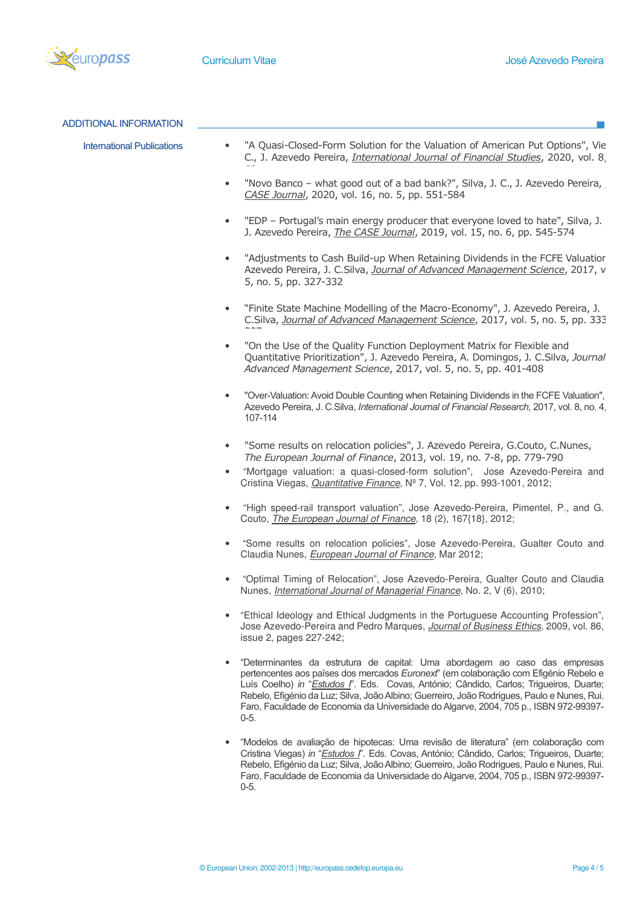

| <b>ADDITIONAL INFORMATION</b>     |                                                                                                                                                                                                                                                                                                                                                                                                                                                                               |
|-----------------------------------|-------------------------------------------------------------------------------------------------------------------------------------------------------------------------------------------------------------------------------------------------------------------------------------------------------------------------------------------------------------------------------------------------------------------------------------------------------------------------------|
| <b>International Publications</b> | "A Quasi-Closed-Form Solution for the Valuation of American Put Options", Vie<br>C., J. Azevedo Pereira, <i>International Journal of Financial Studies</i> , 2020, vol. 8                                                                                                                                                                                                                                                                                                     |
|                                   | "Novo Banco - what good out of a bad bank?", Silva, J. C., J. Azevedo Pereira,<br>$\bullet$<br>CASE Journal, 2020, vol. 16, no. 5, pp. 551-584                                                                                                                                                                                                                                                                                                                                |
|                                   | "EDP - Portugal's main energy producer that everyone loved to hate", Silva, J.<br>$\bullet$<br>J. Azevedo Pereira, <i>The CASE Journal</i> , 2019, vol. 15, no. 6, pp. 545-574                                                                                                                                                                                                                                                                                                |
|                                   | "Adjustments to Cash Build-up When Retaining Dividends in the FCFE Valuatior<br>$\bullet$<br>Azevedo Pereira, J. C.Silva, Journal of Advanced Management Science, 2017, v<br>5, no. 5, pp. 327-332                                                                                                                                                                                                                                                                            |
|                                   | "Finite State Machine Modelling of the Macro-Economy", J. Azevedo Pereira, J.<br>$\bullet$<br>C.Silva, Journal of Advanced Management Science, 2017, vol. 5, no. 5, pp. 333                                                                                                                                                                                                                                                                                                   |
|                                   | "On the Use of the Quality Function Deployment Matrix for Flexible and<br>$\bullet$<br>Quantitative Prioritization", J. Azevedo Pereira, A. Domingos, J. C.Silva, Journal<br>Advanced Management Science, 2017, vol. 5, no. 5, pp. 401-408                                                                                                                                                                                                                                    |
|                                   | "Over-Valuation: Avoid Double Counting when Retaining Dividends in the FCFE Valuation",<br>$\bullet$<br>Azevedo Pereira, J. C.Silva, International Journal of Financial Research, 2017, vol. 8, no. 4,<br>107-114                                                                                                                                                                                                                                                             |
|                                   | "Some results on relocation policies", J. Azevedo Pereira, G.Couto, C.Nunes,<br>$\bullet$<br>The European Journal of Finance, 2013, vol. 19, no. 7-8, pp. 779-790                                                                                                                                                                                                                                                                                                             |
|                                   | "Mortgage valuation: a quasi-closed-form solution", Jose Azevedo-Pereira and<br>Cristina Viegas, <i>Quantitative Finance</i> , Nº 7, Vol. 12, pp. 993-1001, 2012;                                                                                                                                                                                                                                                                                                             |
|                                   | "High speed-rail transport valuation", Jose Azevedo-Pereira, Pimentel, P., and G.<br>$\bullet$<br>Couto, <i>The European Journal of Finance</i> , 18 (2), 167{18}, 2012;                                                                                                                                                                                                                                                                                                      |
|                                   | "Some results on relocation policies", Jose Azevedo-Pereira, Gualter Couto and<br>$\bullet$<br>Claudia Nunes, <i>European Journal of Finance</i> , Mar 2012;                                                                                                                                                                                                                                                                                                                  |
|                                   | "Optimal Timing of Relocation", Jose Azevedo-Pereira, Gualter Couto and Claudia<br>$\bullet$<br>Nunes, International Journal of Managerial Finance, No. 2, V (6), 2010;                                                                                                                                                                                                                                                                                                       |
|                                   | "Ethical Ideology and Ethical Judgments in the Portuguese Accounting Profession",<br>Jose Azevedo-Pereira and Pedro Marques, <i>Journal of Business Ethics</i> , 2009, vol. 86,<br>issue 2, pages 227-242;                                                                                                                                                                                                                                                                    |
|                                   | "Determinantes da estrutura de capital: Uma abordagem ao caso das empresas<br>$\bullet$<br>pertencentes aos países dos mercados Euronext" (em colaboração com Efigénio Rebelo e<br>Luís Coelho) in "Estudos I". Eds. Covas, António; Cândido, Carlos; Trigueiros, Duarte;<br>Rebelo, Efigénio da Luz; Silva, João Albino; Guerreiro, João Rodrigues, Paulo e Nunes, Rui.<br>Faro, Faculdade de Economia da Universidade do Algarve, 2004, 705 p., ISBN 972-99397-<br>$0 - 5.$ |
|                                   | "Modelos de avaliação de hipotecas: Uma revisão de literatura" (em colaboração com<br>$\bullet$<br>Cristina Viegas) in "Estudos I". Eds. Covas, António; Cândido, Carlos; Trigueiros, Duarte;<br>Rebelo, Efigénio da Luz; Silva, João Albino; Guerreiro, João Rodrigues, Paulo e Nunes, Rui.<br>Faro, Faculdade de Economia da Universidade do Algarve, 2004, 705 p., ISBN 972-99397-<br>$0 - 5.$                                                                             |